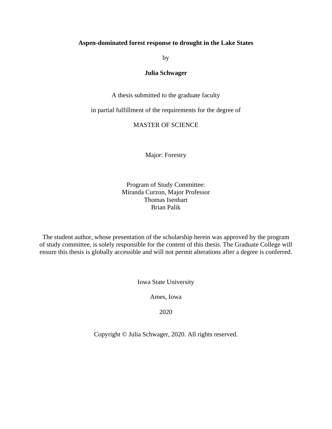## **Aspen-dominated forest response to drought in the Lake States**

by

## **Julia Schwager**

A thesis submitted to the graduate faculty

in partial fulfillment of the requirements for the degree of

# MASTER OF SCIENCE

Major: Forestry

Program of Study Committee: Miranda Curzon, Major Professor Thomas Isenhart Brian Palik

The student author, whose presentation of the scholarship herein was approved by the program of study committee, is solely responsible for the content of this thesis. The Graduate College will ensure this thesis is globally accessible and will not permit alterations after a degree is conferred.

Iowa State University

Ames, Iowa

2020

Copyright © Julia Schwager, 2020. All rights reserved.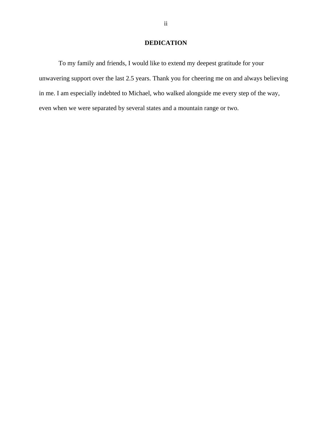# **DEDICATION**

To my family and friends, I would like to extend my deepest gratitude for your unwavering support over the last 2.5 years. Thank you for cheering me on and always believing in me. I am especially indebted to Michael, who walked alongside me every step of the way, even when we were separated by several states and a mountain range or two.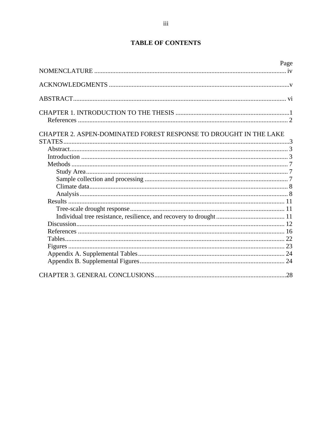# **TABLE OF CONTENTS**

|                                                                   | Page |
|-------------------------------------------------------------------|------|
|                                                                   |      |
|                                                                   |      |
|                                                                   |      |
|                                                                   |      |
|                                                                   |      |
| CHAPTER 2. ASPEN-DOMINATED FOREST RESPONSE TO DROUGHT IN THE LAKE |      |
|                                                                   |      |
|                                                                   |      |
|                                                                   |      |
|                                                                   |      |
|                                                                   |      |
|                                                                   |      |
|                                                                   |      |
|                                                                   |      |
|                                                                   |      |
|                                                                   |      |
|                                                                   |      |
|                                                                   |      |
|                                                                   |      |
|                                                                   |      |
|                                                                   |      |
|                                                                   |      |
|                                                                   |      |
|                                                                   |      |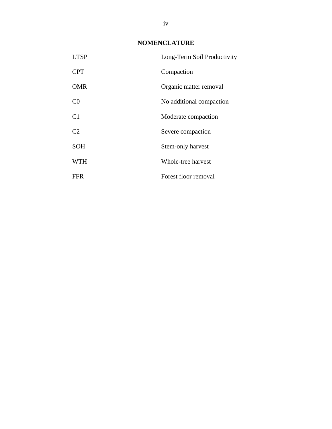# **NOMENCLATURE**

<span id="page-3-0"></span>

| <b>LTSP</b>    | Long-Term Soil Productivity |
|----------------|-----------------------------|
| <b>CPT</b>     | Compaction                  |
| <b>OMR</b>     | Organic matter removal      |
| C <sub>0</sub> | No additional compaction    |
| C <sub>1</sub> | Moderate compaction         |
| C <sub>2</sub> | Severe compaction           |
| <b>SOH</b>     | Stem-only harvest           |
| WTH            | Whole-tree harvest          |
| <b>FFR</b>     | Forest floor removal        |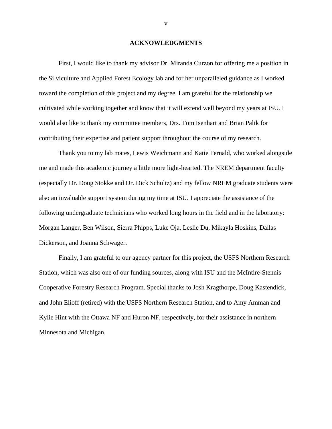### **ACKNOWLEDGMENTS**

<span id="page-4-0"></span>First, I would like to thank my advisor Dr. Miranda Curzon for offering me a position in the Silviculture and Applied Forest Ecology lab and for her unparalleled guidance as I worked toward the completion of this project and my degree. I am grateful for the relationship we cultivated while working together and know that it will extend well beyond my years at ISU. I would also like to thank my committee members, Drs. Tom Isenhart and Brian Palik for contributing their expertise and patient support throughout the course of my research.

Thank you to my lab mates, Lewis Weichmann and Katie Fernald, who worked alongside me and made this academic journey a little more light-hearted. The NREM department faculty (especially Dr. Doug Stokke and Dr. Dick Schultz) and my fellow NREM graduate students were also an invaluable support system during my time at ISU. I appreciate the assistance of the following undergraduate technicians who worked long hours in the field and in the laboratory: Morgan Langer, Ben Wilson, Sierra Phipps, Luke Oja, Leslie Du, Mikayla Hoskins, Dallas Dickerson, and Joanna Schwager.

Finally, I am grateful to our agency partner for this project, the USFS Northern Research Station, which was also one of our funding sources, along with ISU and the McIntire-Stennis Cooperative Forestry Research Program. Special thanks to Josh Kragthorpe, Doug Kastendick, and John Elioff (retired) with the USFS Northern Research Station, and to Amy Amman and Kylie Hint with the Ottawa NF and Huron NF, respectively, for their assistance in northern Minnesota and Michigan.

v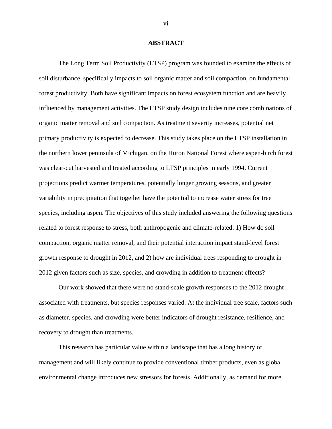### **ABSTRACT**

<span id="page-5-0"></span>The Long Term Soil Productivity (LTSP) program was founded to examine the effects of soil disturbance, specifically impacts to soil organic matter and soil compaction, on fundamental forest productivity. Both have significant impacts on forest ecosystem function and are heavily influenced by management activities. The LTSP study design includes nine core combinations of organic matter removal and soil compaction. As treatment severity increases, potential net primary productivity is expected to decrease. This study takes place on the LTSP installation in the northern lower peninsula of Michigan, on the Huron National Forest where aspen-birch forest was clear-cut harvested and treated according to LTSP principles in early 1994. Current projections predict warmer temperatures, potentially longer growing seasons, and greater variability in precipitation that together have the potential to increase water stress for tree species, including aspen. The objectives of this study included answering the following questions related to forest response to stress, both anthropogenic and climate-related: 1) How do soil compaction, organic matter removal, and their potential interaction impact stand-level forest growth response to drought in 2012, and 2) how are individual trees responding to drought in 2012 given factors such as size, species, and crowding in addition to treatment effects?

Our work showed that there were no stand-scale growth responses to the 2012 drought associated with treatments, but species responses varied. At the individual tree scale, factors such as diameter, species, and crowding were better indicators of drought resistance, resilience, and recovery to drought than treatments.

This research has particular value within a landscape that has a long history of management and will likely continue to provide conventional timber products, even as global environmental change introduces new stressors for forests. Additionally, as demand for more

vi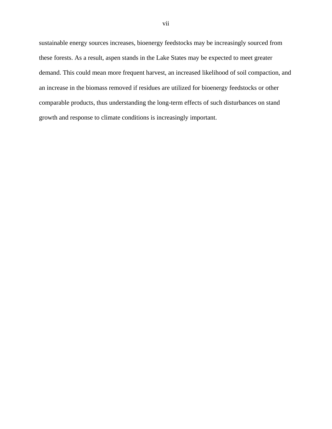sustainable energy sources increases, bioenergy feedstocks may be increasingly sourced from these forests. As a result, aspen stands in the Lake States may be expected to meet greater demand. This could mean more frequent harvest, an increased likelihood of soil compaction, and an increase in the biomass removed if residues are utilized for bioenergy feedstocks or other comparable products, thus understanding the long-term effects of such disturbances on stand growth and response to climate conditions is increasingly important.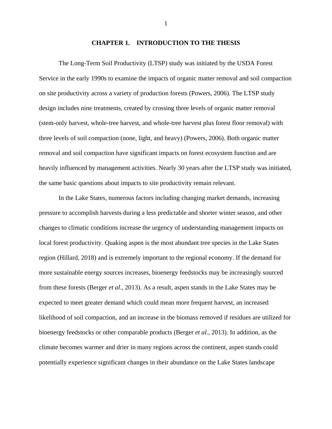### **CHAPTER 1. INTRODUCTION TO THE THESIS**

<span id="page-7-0"></span>The Long-Term Soil Productivity (LTSP) study was initiated by the USDA Forest Service in the early 1990s to examine the impacts of organic matter removal and soil compaction on site productivity across a variety of production forests (Powers, 2006). The LTSP study design includes nine treatments, created by crossing three levels of organic matter removal (stem-only harvest, whole-tree harvest, and whole-tree harvest plus forest floor removal) with three levels of soil compaction (none, light, and heavy) (Powers, 2006). Both organic matter removal and soil compaction have significant impacts on forest ecosystem function and are heavily influenced by management activities. Nearly 30 years after the LTSP study was initiated, the same basic questions about impacts to site productivity remain relevant.

In the Lake States, numerous factors including changing market demands, increasing pressure to accomplish harvests during a less predictable and shorter winter season, and other changes to climatic conditions increase the urgency of understanding management impacts on local forest productivity. Quaking aspen is the most abundant tree species in the Lake States region (Hillard, 2018) and is extremely important to the regional economy. If the demand for more sustainable energy sources increases, bioenergy feedstocks may be increasingly sourced from these forests (Berger *et al.*, 2013). As a result, aspen stands in the Lake States may be expected to meet greater demand which could mean more frequent harvest, an increased likelihood of soil compaction, and an increase in the biomass removed if residues are utilized for bioenergy feedstocks or other comparable products (Berger *et al.*, 2013). In addition, as the climate becomes warmer and drier in many regions across the continent, aspen stands could potentially experience significant changes in their abundance on the Lake States landscape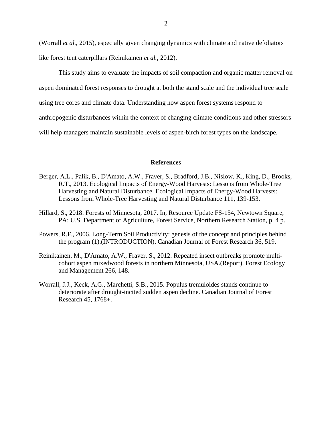(Worrall *et al.*, 2015), especially given changing dynamics with climate and native defoliators like forest tent caterpillars (Reinikainen *et al.*, 2012).

This study aims to evaluate the impacts of soil compaction and organic matter removal on aspen dominated forest responses to drought at both the stand scale and the individual tree scale using tree cores and climate data. Understanding how aspen forest systems respond to anthropogenic disturbances within the context of changing climate conditions and other stressors

will help managers maintain sustainable levels of aspen-birch forest types on the landscape.

### **References**

- <span id="page-8-0"></span>Berger, A.L., Palik, B., D'Amato, A.W., Fraver, S., Bradford, J.B., Nislow, K., King, D., Brooks, R.T., 2013. Ecological Impacts of Energy-Wood Harvests: Lessons from Whole-Tree Harvesting and Natural Disturbance. Ecological Impacts of Energy-Wood Harvests: Lessons from Whole-Tree Harvesting and Natural Disturbance 111, 139-153.
- Hillard, S., 2018. Forests of Minnesota, 2017. In, Resource Update FS-154, Newtown Square, PA: U.S. Department of Agriculture, Forest Service, Northern Research Station, p. 4 p.
- Powers, R.F., 2006. Long-Term Soil Productivity: genesis of the concept and principles behind the program (1).(INTRODUCTION). Canadian Journal of Forest Research 36, 519.
- Reinikainen, M., D'Amato, A.W., Fraver, S., 2012. Repeated insect outbreaks promote multicohort aspen mixedwood forests in northern Minnesota, USA.(Report). Forest Ecology and Management 266, 148.
- Worrall, J.J., Keck, A.G., Marchetti, S.B., 2015. Populus tremuloides stands continue to deteriorate after drought-incited sudden aspen decline. Canadian Journal of Forest Research 45, 1768+.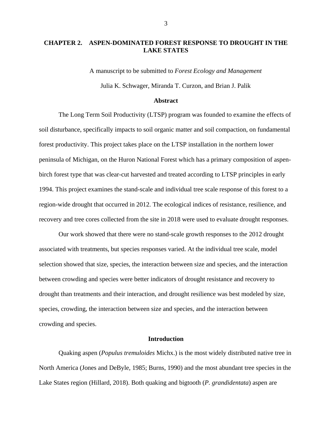# <span id="page-9-0"></span>**CHAPTER 2. ASPEN-DOMINATED FOREST RESPONSE TO DROUGHT IN THE LAKE STATES**

A manuscript to be submitted to *Forest Ecology and Management* Julia K. Schwager, Miranda T. Curzon, and Brian J. Palik

#### **Abstract**

<span id="page-9-1"></span>The Long Term Soil Productivity (LTSP) program was founded to examine the effects of soil disturbance, specifically impacts to soil organic matter and soil compaction, on fundamental forest productivity. This project takes place on the LTSP installation in the northern lower peninsula of Michigan, on the Huron National Forest which has a primary composition of aspenbirch forest type that was clear-cut harvested and treated according to LTSP principles in early 1994. This project examines the stand-scale and individual tree scale response of this forest to a region-wide drought that occurred in 2012. The ecological indices of resistance, resilience, and recovery and tree cores collected from the site in 2018 were used to evaluate drought responses.

Our work showed that there were no stand-scale growth responses to the 2012 drought associated with treatments, but species responses varied. At the individual tree scale, model selection showed that size, species, the interaction between size and species, and the interaction between crowding and species were better indicators of drought resistance and recovery to drought than treatments and their interaction, and drought resilience was best modeled by size, species, crowding, the interaction between size and species, and the interaction between crowding and species.

## **Introduction**

<span id="page-9-2"></span>Quaking aspen (*Populus tremuloides* Michx.) is the most widely distributed native tree in North America (Jones and DeByle, 1985; Burns, 1990) and the most abundant tree species in the Lake States region (Hillard, 2018). Both quaking and bigtooth (*P. grandidentata*) aspen are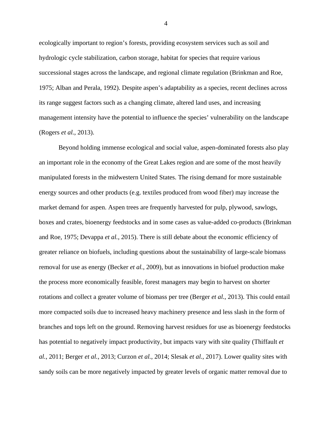ecologically important to region's forests, providing ecosystem services such as soil and hydrologic cycle stabilization, carbon storage, habitat for species that require various successional stages across the landscape, and regional climate regulation (Brinkman and Roe, 1975; Alban and Perala, 1992). Despite aspen's adaptability as a species, recent declines across its range suggest factors such as a changing climate, altered land uses, and increasing management intensity have the potential to influence the species' vulnerability on the landscape (Rogers *et al.*, 2013).

Beyond holding immense ecological and social value, aspen-dominated forests also play an important role in the economy of the Great Lakes region and are some of the most heavily manipulated forests in the midwestern United States. The rising demand for more sustainable energy sources and other products (e.g. textiles produced from wood fiber) may increase the market demand for aspen. Aspen trees are frequently harvested for pulp, plywood, sawlogs, boxes and crates, bioenergy feedstocks and in some cases as value-added co-products (Brinkman and Roe, 1975; Devappa *et al.*, 2015). There is still debate about the economic efficiency of greater reliance on biofuels, including questions about the sustainability of large-scale biomass removal for use as energy (Becker *et al.*, 2009), but as innovations in biofuel production make the process more economically feasible, forest managers may begin to harvest on shorter rotations and collect a greater volume of biomass per tree (Berger *et al.*, 2013). This could entail more compacted soils due to increased heavy machinery presence and less slash in the form of branches and tops left on the ground. Removing harvest residues for use as bioenergy feedstocks has potential to negatively impact productivity, but impacts vary with site quality (Thiffault *et al.*, 2011; Berger *et al.*, 2013; Curzon *et al.*, 2014; Slesak *et al.*, 2017). Lower quality sites with sandy soils can be more negatively impacted by greater levels of organic matter removal due to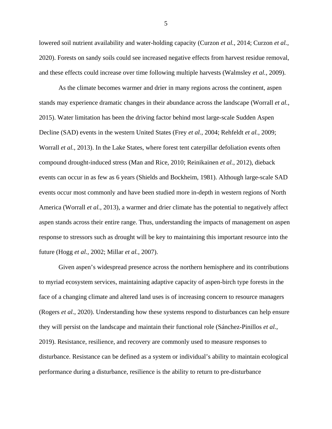lowered soil nutrient availability and water-holding capacity (Curzon *et al.*, 2014; Curzon *et al.*, 2020). Forests on sandy soils could see increased negative effects from harvest residue removal, and these effects could increase over time following multiple harvests (Walmsley *et al.*, 2009).

As the climate becomes warmer and drier in many regions across the continent, aspen stands may experience dramatic changes in their abundance across the landscape (Worrall *et al.*, 2015). Water limitation has been the driving factor behind most large-scale Sudden Aspen Decline (SAD) events in the western United States (Frey *et al.*, 2004; Rehfeldt *et al.*, 2009; Worrall *et al.*, 2013). In the Lake States, where forest tent caterpillar defoliation events often compound drought-induced stress (Man and Rice, 2010; Reinikainen *et al.*, 2012), dieback events can occur in as few as 6 years (Shields and Bockheim, 1981). Although large-scale SAD events occur most commonly and have been studied more in-depth in western regions of North America (Worrall *et al.*, 2013), a warmer and drier climate has the potential to negatively affect aspen stands across their entire range. Thus, understanding the impacts of management on aspen response to stressors such as drought will be key to maintaining this important resource into the future (Hogg *et al.*, 2002; Millar *et al.*, 2007).

Given aspen's widespread presence across the northern hemisphere and its contributions to myriad ecosystem services, maintaining adaptive capacity of aspen-birch type forests in the face of a changing climate and altered land uses is of increasing concern to resource managers (Rogers *et al.*, 2020). Understanding how these systems respond to disturbances can help ensure they will persist on the landscape and maintain their functional role (Sánchez-Pinillos *et al.*, 2019). Resistance, resilience, and recovery are commonly used to measure responses to disturbance. Resistance can be defined as a system or individual's ability to maintain ecological performance during a disturbance, resilience is the ability to return to pre-disturbance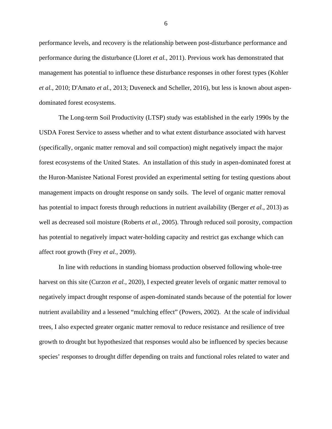performance levels, and recovery is the relationship between post-disturbance performance and performance during the disturbance (Lloret *et al.*, 2011). Previous work has demonstrated that management has potential to influence these disturbance responses in other forest types (Kohler *et al.*, 2010; D'Amato *et al.*, 2013; Duveneck and Scheller, 2016), but less is known about aspendominated forest ecosystems.

The Long-term Soil Productivity (LTSP) study was established in the early 1990s by the USDA Forest Service to assess whether and to what extent disturbance associated with harvest (specifically, organic matter removal and soil compaction) might negatively impact the major forest ecosystems of the United States. An installation of this study in aspen-dominated forest at the Huron-Manistee National Forest provided an experimental setting for testing questions about management impacts on drought response on sandy soils. The level of organic matter removal has potential to impact forests through reductions in nutrient availability (Berger *et al.*, 2013) as well as decreased soil moisture (Roberts *et al.*, 2005). Through reduced soil porosity, compaction has potential to negatively impact water-holding capacity and restrict gas exchange which can affect root growth (Frey *et al.*, 2009).

In line with reductions in standing biomass production observed following whole-tree harvest on this site (Curzon *et al.*, 2020), I expected greater levels of organic matter removal to negatively impact drought response of aspen-dominated stands because of the potential for lower nutrient availability and a lessened "mulching effect" (Powers, 2002). At the scale of individual trees, I also expected greater organic matter removal to reduce resistance and resilience of tree growth to drought but hypothesized that responses would also be influenced by species because species' responses to drought differ depending on traits and functional roles related to water and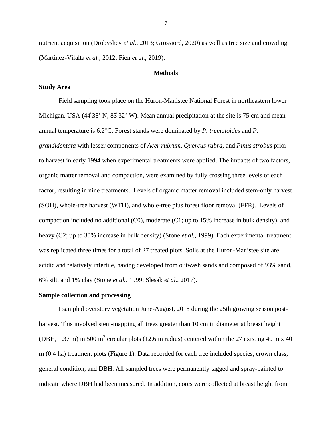nutrient acquisition (Drobyshev *et al.*, 2013; Grossiord, 2020) as well as tree size and crowding (Martinez-Vilalta *et al.*, 2012; Fien *et al.*, 2019).

#### **Methods**

### <span id="page-13-1"></span><span id="page-13-0"></span>**Study Area**

Field sampling took place on the Huron-Manistee National Forest in northeastern lower Michigan, USA  $(44^{\circ}38^{\circ} N, 83^{\circ}32^{\circ} W)$ . Mean annual precipitation at the site is 75 cm and mean annual temperature is 6.2°C. Forest stands were dominated by *P. tremuloides* and *P. grandidentata* with lesser components of *Acer rubrum*, *Quercus rubra,* and *Pinus strobus* prior to harvest in early 1994 when experimental treatments were applied. The impacts of two factors, organic matter removal and compaction, were examined by fully crossing three levels of each factor, resulting in nine treatments. Levels of organic matter removal included stem-only harvest (SOH), whole-tree harvest (WTH), and whole-tree plus forest floor removal (FFR). Levels of compaction included no additional (C0), moderate (C1; up to 15% increase in bulk density), and heavy (C2; up to 30% increase in bulk density) (Stone *et al.*, 1999). Each experimental treatment was replicated three times for a total of 27 treated plots. Soils at the Huron-Manistee site are acidic and relatively infertile, having developed from outwash sands and composed of 93% sand, 6% silt, and 1% clay (Stone *et al.*, 1999; Slesak *et al.*, 2017).

#### <span id="page-13-2"></span>**Sample collection and processing**

I sampled overstory vegetation June-August, 2018 during the 25th growing season postharvest. This involved stem-mapping all trees greater than 10 cm in diameter at breast height (DBH, 1.37 m) in 500 m<sup>2</sup> circular plots (12.6 m radius) centered within the 27 existing 40 m x 40 m (0.4 ha) treatment plots (Figure 1). Data recorded for each tree included species, crown class, general condition, and DBH. All sampled trees were permanently tagged and spray-painted to indicate where DBH had been measured. In addition, cores were collected at breast height from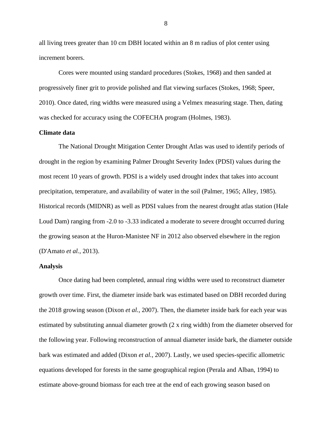all living trees greater than 10 cm DBH located within an 8 m radius of plot center using increment borers.

Cores were mounted using standard procedures (Stokes, 1968) and then sanded at progressively finer grit to provide polished and flat viewing surfaces (Stokes, 1968; Speer, 2010). Once dated, ring widths were measured using a Velmex measuring stage. Then, dating was checked for accuracy using the COFECHA program (Holmes, 1983).

## <span id="page-14-0"></span>**Climate data**

The National Drought Mitigation Center Drought Atlas was used to identify periods of drought in the region by examining Palmer Drought Severity Index (PDSI) values during the most recent 10 years of growth. PDSI is a widely used drought index that takes into account precipitation, temperature, and availability of water in the soil (Palmer, 1965; Alley, 1985). Historical records (MIDNR) as well as PDSI values from the nearest drought atlas station (Hale Loud Dam) ranging from -2.0 to -3.33 indicated a moderate to severe drought occurred during the growing season at the Huron-Manistee NF in 2012 also observed elsewhere in the region (D'Amato *et al.*, 2013).

# <span id="page-14-1"></span>**Analysis**

Once dating had been completed, annual ring widths were used to reconstruct diameter growth over time. First, the diameter inside bark was estimated based on DBH recorded during the 2018 growing season (Dixon *et al.*, 2007). Then, the diameter inside bark for each year was estimated by substituting annual diameter growth (2 x ring width) from the diameter observed for the following year. Following reconstruction of annual diameter inside bark, the diameter outside bark was estimated and added (Dixon *et al.*, 2007). Lastly, we used species-specific allometric equations developed for forests in the same geographical region (Perala and Alban, 1994) to estimate above-ground biomass for each tree at the end of each growing season based on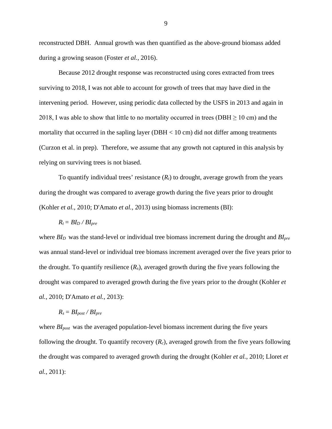reconstructed DBH. Annual growth was then quantified as the above-ground biomass added during a growing season (Foster *et al.*, 2016).

Because 2012 drought response was reconstructed using cores extracted from trees surviving to 2018, I was not able to account for growth of trees that may have died in the intervening period. However, using periodic data collected by the USFS in 2013 and again in 2018, I was able to show that little to no mortality occurred in trees (DBH  $\geq$  10 cm) and the mortality that occurred in the sapling layer (DBH  $< 10 \text{ cm}$ ) did not differ among treatments (Curzon et al. in prep). Therefore, we assume that any growth not captured in this analysis by relying on surviving trees is not biased.

To quantify individual trees' resistance  $(R<sub>t</sub>)$  to drought, average growth from the years during the drought was compared to average growth during the five years prior to drought (Kohler *et al.*, 2010; D'Amato *et al.*, 2013) using biomass increments (BI):

$$
R_t = B I_D \, / \, B I_{pre}
$$

where *BI<sub>D</sub>* was the stand-level or individual tree biomass increment during the drought and *BI<sub>pre</sub>* was annual stand-level or individual tree biomass increment averaged over the five years prior to the drought. To quantify resilience  $(R_s)$ , averaged growth during the five years following the drought was compared to averaged growth during the five years prior to the drought (Kohler *et al.*, 2010; D'Amato *et al.*, 2013):

$$
R_s = B I_{post} / B I_{pre}
$$

where *BI<sub>post</sub>* was the averaged population-level biomass increment during the five years following the drought. To quantify recovery  $(R_c)$ , averaged growth from the five years following the drought was compared to averaged growth during the drought (Kohler *et al.*, 2010; Lloret *et al.*, 2011):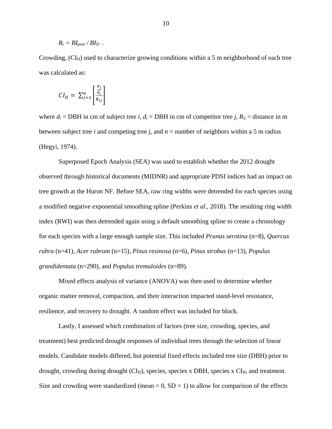$$
R_c = B I_{post} / B I_D \; .
$$

Crowding,  $\rm(CI_H)$  used to characterize growing conditions within a 5 m neighborhood of each tree was calculated as:

$$
CI_H = \sum_{j=1}^{n} \left[ \frac{\frac{a_j}{a_i}}{R_{ij}} \right]
$$

where  $d_i$  = DBH in cm of subject tree *i*,  $d_i$  = DBH in cm of competitor tree *j*,  $R_{ii}$  = distance in m between subject tree *i* and competing tree *j*, and  $n =$  number of neighbors within a 5 m radius (Hegyi, 1974).

Superposed Epoch Analysis (SEA) was used to establish whether the 2012 drought observed through historical documents (MIDNR) and appropriate PDSI indices had an impact on tree growth at the Huron NF. Before SEA, raw ring widths were detrended for each species using a modified negative exponential smoothing spline (Perkins *et al.*, 2018). The resulting ring width index (RWI) was then detrended again using a default smoothing spline to create a chronology for each species with a large enough sample size. This included *Prunus serotina* (n=8), *Quercus rubra* (n=41), *Acer rubrum* (n=15), *Pinus resinosa* (n=6), *Pinus strobus* (n=13), *Populus grandidentata* (n=290), and *Populus tremuloides* (n=89).

Mixed effects analysis of variance (ANOVA) was then used to determine whether organic matter removal, compaction, and their interaction impacted stand-level resistance, resilience, and recovery to drought. A random effect was included for block.

Lastly, I assessed which combination of factors (tree size, crowding, species, and treatment) best predicted drought responses of individual trees through the selection of linear models. Candidate models differed, but potential fixed effects included tree size (DBH) prior to drought, crowding during drought  $\rm (CI_H)$ , species, species x DBH, species x  $\rm CI_H$ , and treatment. Size and crowding were standardized (mean  $= 0$ , SD  $= 1$ ) to allow for comparison of the effects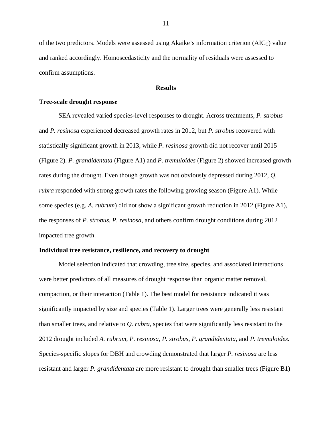of the two predictors. Models were assessed using Akaike's information criterion (AIC<sub>C</sub>) value and ranked accordingly. Homoscedasticity and the normality of residuals were assessed to confirm assumptions.

## **Results**

## <span id="page-17-1"></span><span id="page-17-0"></span>**Tree-scale drought response**

SEA revealed varied species-level responses to drought. Across treatments, *P. strobus*  and *P. resinosa* experienced decreased growth rates in 2012, but *P. strobus* recovered with statistically significant growth in 2013, while *P. resinosa* growth did not recover until 2015 (Figure 2). *P. grandidentata* (Figure A1) and *P. tremuloides* (Figure 2) showed increased growth rates during the drought. Even though growth was not obviously depressed during 2012, *Q. rubra* responded with strong growth rates the following growing season (Figure A1). While some species (e.g. *A. rubrum*) did not show a significant growth reduction in 2012 (Figure A1), the responses of *P. strobus, P. resinosa*, and others confirm drought conditions during 2012 impacted tree growth.

## <span id="page-17-2"></span>**Individual tree resistance, resilience, and recovery to drought**

Model selection indicated that crowding, tree size, species, and associated interactions were better predictors of all measures of drought response than organic matter removal, compaction, or their interaction (Table 1). The best model for resistance indicated it was significantly impacted by size and species (Table 1). Larger trees were generally less resistant than smaller trees, and relative to *Q. rubra*, species that were significantly less resistant to the 2012 drought included *A. rubrum, P. resinosa, P. strobus, P. grandidentata,* and *P. tremuloides.*  Species-specific slopes for DBH and crowding demonstrated that larger *P. resinosa* are less resistant and larger *P. grandidentata* are more resistant to drought than smaller trees (Figure B1)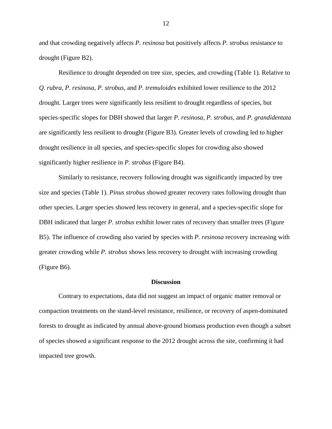and that crowding negatively affects *P. resinosa* but positively affects *P. strobus* resistance to drought (Figure B2).

Resilience to drought depended on tree size, species, and crowding (Table 1). Relative to *Q. rubra*, *P. resinosa*, *P. strobus*, and *P. tremuloides* exhibited lower resilience to the 2012 drought*.* Larger trees were significantly less resilient to drought regardless of species, but species-specific slopes for DBH showed that larger *P. resinosa*, *P. strobus,* and *P. grandidentata*  are significantly less resilient to drought (Figure B3). Greater levels of crowding led to higher drought resilience in all species, and species-specific slopes for crowding also showed significantly higher resilience in *P. strobus* (Figure B4).

Similarly to resistance, recovery following drought was significantly impacted by tree size and species (Table 1). *Pinus strobus* showed greater recovery rates following drought than other species. Larger species showed less recovery in general, and a species-specific slope for DBH indicated that larger *P. strobus* exhibit lower rates of recovery than smaller trees (Figure B5). The influence of crowding also varied by species with *P. resinosa* recovery increasing with greater crowding while *P. strobus* shows less recovery to drought with increasing crowding (Figure B6).

#### **Discussion**

<span id="page-18-0"></span>Contrary to expectations, data did not suggest an impact of organic matter removal or compaction treatments on the stand-level resistance, resilience, or recovery of aspen-dominated forests to drought as indicated by annual above-ground biomass production even though a subset of species showed a significant response to the 2012 drought across the site, confirming it had impacted tree growth.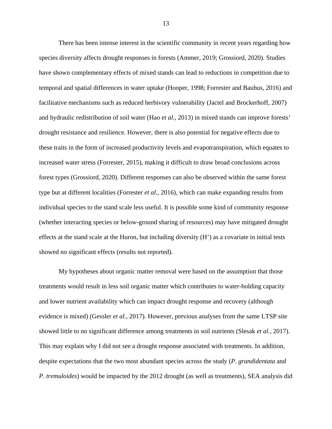There has been intense interest in the scientific community in recent years regarding how species diversity affects drought responses in forests (Ammer, 2019; Grossiord, 2020). Studies have shown complementary effects of mixed stands can lead to reductions in competition due to temporal and spatial differences in water uptake (Hooper, 1998; Forrester and Bauhus, 2016) and facilitative mechanisms such as reduced herbivory vulnerability (Jactel and Brockerhoff, 2007) and hydraulic redistribution of soil water (Hao *et al.*, 2013) in mixed stands can improve forests' drought resistance and resilience. However, there is also potential for negative effects due to these traits in the form of increased productivity levels and evapotranspiration, which equates to increased water stress (Forrester, 2015), making it difficult to draw broad conclusions across forest types (Grossiord, 2020). Different responses can also be observed within the same forest type but at different localities (Forrester *et al.*, 2016), which can make expanding results from individual species to the stand scale less useful. It is possible some kind of community response (whether interacting species or below-ground sharing of resources) may have mitigated drought effects at the stand scale at the Huron, but including diversity (H') as a covariate in initial tests showed no significant effects (results not reported).

My hypotheses about organic matter removal were based on the assumption that those treatments would result in less soil organic matter which contributes to water-holding capacity and lower nutrient availability which can impact drought response and recovery (although evidence is mixed) (Gessler *et al.*, 2017). However, previous analyses from the same LTSP site showed little to no significant difference among treatments in soil nutrients (Slesak *et al.*, 2017). This may explain why I did not see a drought response associated with treatments. In addition, despite expectations that the two most abundant species across the study (*P. grandidentata* and *P. tremuloides*) would be impacted by the 2012 drought (as well as treatments), SEA analysis did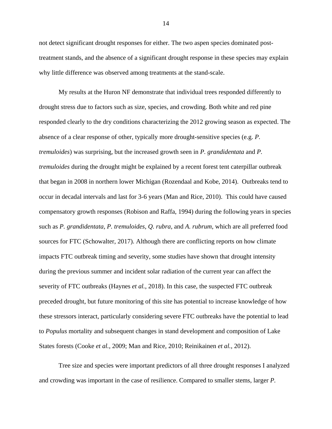not detect significant drought responses for either. The two aspen species dominated posttreatment stands, and the absence of a significant drought response in these species may explain why little difference was observed among treatments at the stand-scale.

My results at the Huron NF demonstrate that individual trees responded differently to drought stress due to factors such as size, species, and crowding. Both white and red pine responded clearly to the dry conditions characterizing the 2012 growing season as expected. The absence of a clear response of other, typically more drought-sensitive species (e.g. *P. tremuloides*) was surprising, but the increased growth seen in *P. grandidentata* and *P. tremuloides* during the drought might be explained by a recent forest tent caterpillar outbreak that began in 2008 in northern lower Michigan (Rozendaal and Kobe, 2014). Outbreaks tend to occur in decadal intervals and last for 3-6 years (Man and Rice, 2010). This could have caused compensatory growth responses (Robison and Raffa, 1994) during the following years in species such as *P. grandidentata, P. tremuloides, Q. rubra,* and *A. rubrum*, which are all preferred food sources for FTC (Schowalter, 2017). Although there are conflicting reports on how climate impacts FTC outbreak timing and severity, some studies have shown that drought intensity during the previous summer and incident solar radiation of the current year can affect the severity of FTC outbreaks (Haynes *et al.*, 2018). In this case, the suspected FTC outbreak preceded drought, but future monitoring of this site has potential to increase knowledge of how these stressors interact, particularly considering severe FTC outbreaks have the potential to lead to *Populus* mortality and subsequent changes in stand development and composition of Lake States forests (Cooke *et al.*, 2009; Man and Rice, 2010; Reinikainen *et al.*, 2012).

Tree size and species were important predictors of all three drought responses I analyzed and crowding was important in the case of resilience. Compared to smaller stems, larger *P.*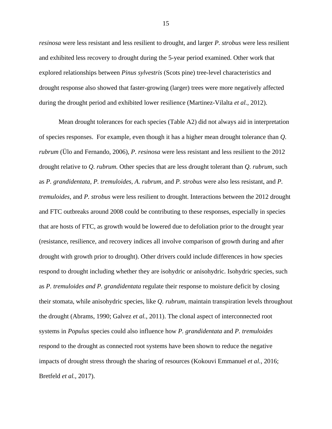*resinosa* were less resistant and less resilient to drought, and larger *P. strobus* were less resilient and exhibited less recovery to drought during the 5-year period examined. Other work that explored relationships between *Pinus sylvestris* (Scots pine) tree-level characteristics and drought response also showed that faster-growing (larger) trees were more negatively affected during the drought period and exhibited lower resilience (Martinez-Vilalta *et al.*, 2012).

Mean drought tolerances for each species (Table A2) did not always aid in interpretation of species responses. For example, even though it has a higher mean drought tolerance than *Q. rubrum* (Ülo and Fernando, 2006)*, P. resinosa* were less resistant and less resilient to the 2012 drought relative to *Q. rubrum.* Other species that are less drought tolerant than *Q. rubrum,* such as *P. grandidentata, P. tremuloides, A. rubrum,* and *P. strobus* were also less resistant, and *P. tremuloides,* and *P. strobus* were less resilient to drought. Interactions between the 2012 drought and FTC outbreaks around 2008 could be contributing to these responses, especially in species that are hosts of FTC, as growth would be lowered due to defoliation prior to the drought year (resistance, resilience, and recovery indices all involve comparison of growth during and after drought with growth prior to drought). Other drivers could include differences in how species respond to drought including whether they are isohydric or anisohydric. Isohydric species, such as *P. tremuloides and P. grandidentata* regulate their response to moisture deficit by closing their stomata, while anisohydric species, like *Q. rubrum,* maintain transpiration levels throughout the drought (Abrams, 1990; Galvez *et al.*, 2011). The clonal aspect of interconnected root systems in *Populus* species could also influence how *P. grandidentata* and *P. tremuloides*  respond to the drought as connected root systems have been shown to reduce the negative impacts of drought stress through the sharing of resources (Kokouvi Emmanuel *et al.*, 2016; Bretfeld *et al.*, 2017).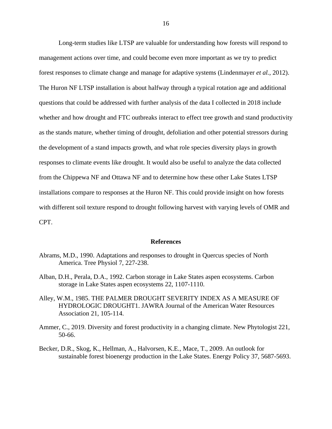Long-term studies like LTSP are valuable for understanding how forests will respond to management actions over time, and could become even more important as we try to predict forest responses to climate change and manage for adaptive systems (Lindenmayer *et al.*, 2012). The Huron NF LTSP installation is about halfway through a typical rotation age and additional questions that could be addressed with further analysis of the data I collected in 2018 include whether and how drought and FTC outbreaks interact to effect tree growth and stand productivity as the stands mature, whether timing of drought, defoliation and other potential stressors during the development of a stand impacts growth, and what role species diversity plays in growth responses to climate events like drought. It would also be useful to analyze the data collected from the Chippewa NF and Ottawa NF and to determine how these other Lake States LTSP installations compare to responses at the Huron NF. This could provide insight on how forests with different soil texture respond to drought following harvest with varying levels of OMR and CPT.

#### **References**

- <span id="page-22-0"></span>Abrams, M.D., 1990. Adaptations and responses to drought in Quercus species of North America. Tree Physiol 7, 227-238.
- Alban, D.H., Perala, D.A., 1992. Carbon storage in Lake States aspen ecosystems. Carbon storage in Lake States aspen ecosystems 22, 1107-1110.
- Alley, W.M., 1985. THE PALMER DROUGHT SEVERITY INDEX AS A MEASURE OF HYDROLOGIC DROUGHT1. JAWRA Journal of the American Water Resources Association 21, 105-114.
- Ammer, C., 2019. Diversity and forest productivity in a changing climate. New Phytologist 221, 50-66.
- Becker, D.R., Skog, K., Hellman, A., Halvorsen, K.E., Mace, T., 2009. An outlook for sustainable forest bioenergy production in the Lake States. Energy Policy 37, 5687-5693.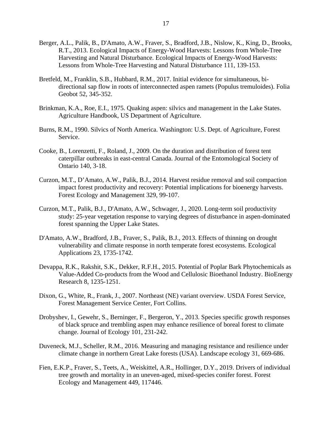- Berger, A.L., Palik, B., D'Amato, A.W., Fraver, S., Bradford, J.B., Nislow, K., King, D., Brooks, R.T., 2013. Ecological Impacts of Energy-Wood Harvests: Lessons from Whole-Tree Harvesting and Natural Disturbance. Ecological Impacts of Energy-Wood Harvests: Lessons from Whole-Tree Harvesting and Natural Disturbance 111, 139-153.
- Bretfeld, M., Franklin, S.B., Hubbard, R.M., 2017. Initial evidence for simultaneous, bidirectional sap flow in roots of interconnected aspen ramets (Populus tremuloides). Folia Geobot 52, 345-352.
- Brinkman, K.A., Roe, E.I., 1975. Quaking aspen: silvics and management in the Lake States. Agriculture Handbook, US Department of Agriculture.
- Burns, R.M., 1990. Silvics of North America. Washington: U.S. Dept. of Agriculture, Forest Service.
- Cooke, B., Lorenzetti, F., Roland, J., 2009. On the duration and distribution of forest tent caterpillar outbreaks in east-central Canada. Journal of the Entomological Society of Ontario 140, 3-18.
- Curzon, M.T., D'Amato, A.W., Palik, B.J., 2014. Harvest residue removal and soil compaction impact forest productivity and recovery: Potential implications for bioenergy harvests. Forest Ecology and Management 329, 99-107.
- Curzon, M.T., Palik, B.J., D'Amato, A.W., Schwager, J., 2020. Long-term soil productivity study: 25-year vegetation response to varying degrees of disturbance in aspen-dominated forest spanning the Upper Lake States.
- D'Amato, A.W., Bradford, J.B., Fraver, S., Palik, B.J., 2013. Effects of thinning on drought vulnerability and climate response in north temperate forest ecosystems. Ecological Applications 23, 1735-1742.
- Devappa, R.K., Rakshit, S.K., Dekker, R.F.H., 2015. Potential of Poplar Bark Phytochemicals as Value-Added Co-products from the Wood and Cellulosic Bioethanol Industry. BioEnergy Research 8, 1235-1251.
- Dixon, G., White, R., Frank, J., 2007. Northeast (NE) variant overview. USDA Forest Service, Forest Management Service Center, Fort Collins.
- Drobyshev, I., Gewehr, S., Berninger, F., Bergeron, Y., 2013. Species specific growth responses of black spruce and trembling aspen may enhance resilience of boreal forest to climate change. Journal of Ecology 101, 231-242.
- Duveneck, M.J., Scheller, R.M., 2016. Measuring and managing resistance and resilience under climate change in northern Great Lake forests (USA). Landscape ecology 31, 669-686.
- Fien, E.K.P., Fraver, S., Teets, A., Weiskittel, A.R., Hollinger, D.Y., 2019. Drivers of individual tree growth and mortality in an uneven-aged, mixed-species conifer forest. Forest Ecology and Management 449, 117446.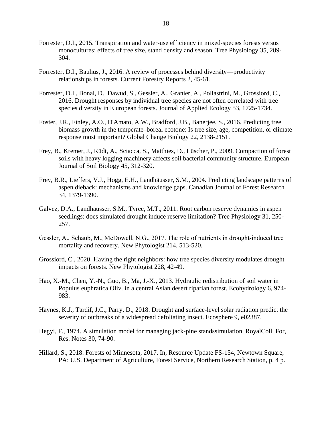- Forrester, D.I., 2015. Transpiration and water-use efficiency in mixed-species forests versus monocultures: effects of tree size, stand density and season. Tree Physiology 35, 289- 304.
- Forrester, D.I., Bauhus, J., 2016. A review of processes behind diversity—productivity relationships in forests. Current Forestry Reports 2, 45-61.
- Forrester, D.I., Bonal, D., Dawud, S., Gessler, A., Granier, A., Pollastrini, M., Grossiord, C., 2016. Drought responses by individual tree species are not often correlated with tree species diversity in E uropean forests. Journal of Applied Ecology 53, 1725-1734.
- Foster, J.R., Finley, A.O., D'Amato, A.W., Bradford, J.B., Banerjee, S., 2016. Predicting tree biomass growth in the temperate–boreal ecotone: Is tree size, age, competition, or climate response most important? Global Change Biology 22, 2138-2151.
- Frey, B., Kremer, J., Rüdt, A., Sciacca, S., Matthies, D., Lüscher, P., 2009. Compaction of forest soils with heavy logging machinery affects soil bacterial community structure. European Journal of Soil Biology 45, 312-320.
- Frey, B.R., Lieffers, V.J., Hogg, E.H., Landhäusser, S.M., 2004. Predicting landscape patterns of aspen dieback: mechanisms and knowledge gaps. Canadian Journal of Forest Research 34, 1379-1390.
- Galvez, D.A., Landhäusser, S.M., Tyree, M.T., 2011. Root carbon reserve dynamics in aspen seedlings: does simulated drought induce reserve limitation? Tree Physiology 31, 250- 257.
- Gessler, A., Schaub, M., McDowell, N.G., 2017. The role of nutrients in drought-induced tree mortality and recovery. New Phytologist 214, 513-520.
- Grossiord, C., 2020. Having the right neighbors: how tree species diversity modulates drought impacts on forests. New Phytologist 228, 42-49.
- Hao, X.-M., Chen, Y.-N., Guo, B., Ma, J.-X., 2013. Hydraulic redistribution of soil water in Populus euphratica Oliv. in a central Asian desert riparian forest. Ecohydrology 6, 974- 983.
- Haynes, K.J., Tardif, J.C., Parry, D., 2018. Drought and surface-level solar radiation predict the severity of outbreaks of a widespread defoliating insect. Ecosphere 9, e02387.
- Hegyi, F., 1974. A simulation model for managing jack-pine standssimulation. RoyalColl. For, Res. Notes 30, 74-90.
- Hillard, S., 2018. Forests of Minnesota, 2017. In, Resource Update FS-154, Newtown Square, PA: U.S. Department of Agriculture, Forest Service, Northern Research Station, p. 4 p.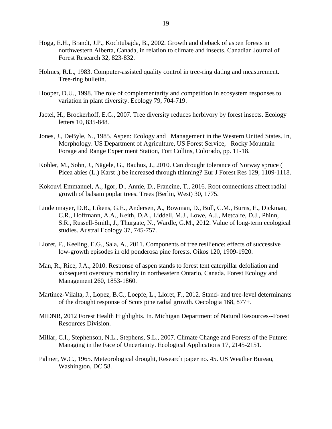- Hogg, E.H., Brandt, J.P., Kochtubajda, B., 2002. Growth and dieback of aspen forests in northwestern Alberta, Canada, in relation to climate and insects. Canadian Journal of Forest Research 32, 823-832.
- Holmes, R.L., 1983. Computer-assisted quality control in tree-ring dating and measurement. Tree-ring bulletin.
- Hooper, D.U., 1998. The role of complementarity and competition in ecosystem responses to variation in plant diversity. Ecology 79, 704-719.
- Jactel, H., Brockerhoff, E.G., 2007. Tree diversity reduces herbivory by forest insects. Ecology letters 10, 835-848.
- Jones, J., DeByle, N., 1985. Aspen: Ecology and Management in the Western United States. In, Morphology. US Department of Agriculture, US Forest Service, Rocky Mountain Forage and Range Experiment Station, Fort Collins, Colorado, pp. 11-18.
- Kohler, M., Sohn, J., Nägele, G., Bauhus, J., 2010. Can drought tolerance of Norway spruce ( Picea abies (L.) Karst .) be increased through thinning? Eur J Forest Res 129, 1109-1118.
- Kokouvi Emmanuel, A., Igor, D., Annie, D., Francine, T., 2016. Root connections affect radial growth of balsam poplar trees. Trees (Berlin, West) 30, 1775.
- Lindenmayer, D.B., Likens, G.E., Andersen, A., Bowman, D., Bull, C.M., Burns, E., Dickman, C.R., Hoffmann, A.A., Keith, D.A., Liddell, M.J., Lowe, A.J., Metcalfe, D.J., Phinn, S.R., Russell-Smith, J., Thurgate, N., Wardle, G.M., 2012. Value of long-term ecological studies. Austral Ecology 37, 745-757.
- Lloret, F., Keeling, E.G., Sala, A., 2011. Components of tree resilience: effects of successive low-growth episodes in old ponderosa pine forests. Oikos 120, 1909-1920.
- Man, R., Rice, J.A., 2010. Response of aspen stands to forest tent caterpillar defoliation and subsequent overstory mortality in northeastern Ontario, Canada. Forest Ecology and Management 260, 1853-1860.
- Martinez-Vilalta, J., Lopez, B.C., Loepfe, L., Lloret, F., 2012. Stand- and tree-level determinants of the drought response of Scots pine radial growth. Oecologia 168, 877+.
- MIDNR, 2012 Forest Health Highlights. In. Michigan Department of Natural Resources--Forest Resources Division.
- Millar, C.I., Stephenson, N.L., Stephens, S.L., 2007. Climate Change and Forests of the Future: Managing in the Face of Uncertainty. Ecological Applications 17, 2145-2151.
- Palmer, W.C., 1965. Meteorological drought, Research paper no. 45. US Weather Bureau, Washington, DC 58.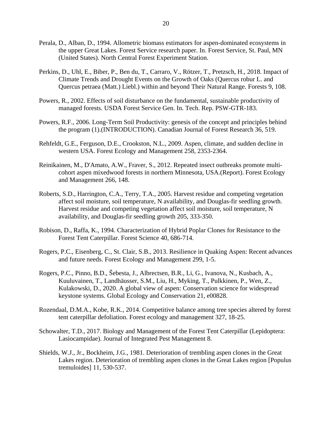- Perala, D., Alban, D., 1994. Allometric biomass estimators for aspen-dominated ecosystems in the upper Great Lakes. Forest Service research paper. In. Forest Service, St. Paul, MN (United States). North Central Forest Experiment Station.
- Perkins, D., Uhl, E., Biber, P., Ben du, T., Carraro, V., Rötzer, T., Pretzsch, H., 2018. Impact of Climate Trends and Drought Events on the Growth of Oaks (Quercus robur L. and Quercus petraea (Matt.) Liebl.) within and beyond Their Natural Range. Forests 9, 108.
- Powers, R., 2002. Effects of soil disturbance on the fundamental, sustainable productivity of managed forests. USDA Forest Service Gen. In. Tech. Rep. PSW-GTR-183.
- Powers, R.F., 2006. Long-Term Soil Productivity: genesis of the concept and principles behind the program (1).(INTRODUCTION). Canadian Journal of Forest Research 36, 519.
- Rehfeldt, G.E., Ferguson, D.E., Crookston, N.L., 2009. Aspen, climate, and sudden decline in western USA. Forest Ecology and Management 258, 2353-2364.
- Reinikainen, M., D'Amato, A.W., Fraver, S., 2012. Repeated insect outbreaks promote multicohort aspen mixedwood forests in northern Minnesota, USA.(Report). Forest Ecology and Management 266, 148.
- Roberts, S.D., Harrington, C.A., Terry, T.A., 2005. Harvest residue and competing vegetation affect soil moisture, soil temperature, N availability, and Douglas-fir seedling growth. Harvest residue and competing vegetation affect soil moisture, soil temperature, N availability, and Douglas-fir seedling growth 205, 333-350.
- Robison, D., Raffa, K., 1994. Characterization of Hybrid Poplar Clones for Resistance to the Forest Tent Caterpillar. Forest Science 40, 686-714.
- Rogers, P.C., Eisenberg, C., St. Clair, S.B., 2013. Resilience in Quaking Aspen: Recent advances and future needs. Forest Ecology and Management 299, 1-5.
- Rogers, P.C., Pinno, B.D., Šebesta, J., Albrectsen, B.R., Li, G., Ivanova, N., Kusbach, A., Kuuluvainen, T., Landhäusser, S.M., Liu, H., Myking, T., Pulkkinen, P., Wen, Z., Kulakowski, D., 2020. A global view of aspen: Conservation science for widespread keystone systems. Global Ecology and Conservation 21, e00828.
- Rozendaal, D.M.A., Kobe, R.K., 2014. Competitive balance among tree species altered by forest tent caterpillar defoliation. Forest ecology and management 327, 18-25.
- Schowalter, T.D., 2017. Biology and Management of the Forest Tent Caterpillar (Lepidoptera: Lasiocampidae). Journal of Integrated Pest Management 8.
- Shields, W.J., Jr., Bockheim, J.G., 1981. Deterioration of trembling aspen clones in the Great Lakes region. Deterioration of trembling aspen clones in the Great Lakes region [Populus tremuloides] 11, 530-537.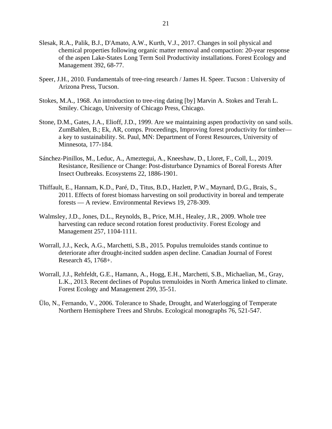- Slesak, R.A., Palik, B.J., D'Amato, A.W., Kurth, V.J., 2017. Changes in soil physical and chemical properties following organic matter removal and compaction: 20-year response of the aspen Lake-States Long Term Soil Productivity installations. Forest Ecology and Management 392, 68-77.
- Speer, J.H., 2010. Fundamentals of tree-ring research / James H. Speer. Tucson : University of Arizona Press, Tucson.
- Stokes, M.A., 1968. An introduction to tree-ring dating [by] Marvin A. Stokes and Terah L. Smiley. Chicago, University of Chicago Press, Chicago.
- Stone, D.M., Gates, J.A., Elioff, J.D., 1999. Are we maintaining aspen productivity on sand soils. ZumBahlen, B.; Ek, AR, comps. Proceedings, Improving forest productivity for timber a key to sustainability. St. Paul, MN: Department of Forest Resources, University of Minnesota, 177-184.
- Sánchez-Pinillos, M., Leduc, A., Ameztegui, A., Kneeshaw, D., Lloret, F., Coll, L., 2019. Resistance, Resilience or Change: Post-disturbance Dynamics of Boreal Forests After Insect Outbreaks. Ecosystems 22, 1886-1901.
- Thiffault, E., Hannam, K.D., Paré, D., Titus, B.D., Hazlett, P.W., Maynard, D.G., Brais, S., 2011. Effects of forest biomass harvesting on soil productivity in boreal and temperate forests — A review. Environmental Reviews 19, 278-309.
- Walmsley, J.D., Jones, D.L., Reynolds, B., Price, M.H., Healey, J.R., 2009. Whole tree harvesting can reduce second rotation forest productivity. Forest Ecology and Management 257, 1104-1111.
- Worrall, J.J., Keck, A.G., Marchetti, S.B., 2015. Populus tremuloides stands continue to deteriorate after drought-incited sudden aspen decline. Canadian Journal of Forest Research 45, 1768+.
- Worrall, J.J., Rehfeldt, G.E., Hamann, A., Hogg, E.H., Marchetti, S.B., Michaelian, M., Gray, L.K., 2013. Recent declines of Populus tremuloides in North America linked to climate. Forest Ecology and Management 299, 35-51.
- Ülo, N., Fernando, V., 2006. Tolerance to Shade, Drought, and Waterlogging of Temperate Northern Hemisphere Trees and Shrubs. Ecological monographs 76, 521-547.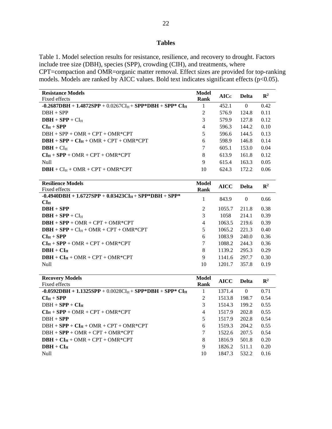# **Tables**

<span id="page-28-0"></span>Table 1. Model selection results for resistance, resilience, and recovery to drought. Factors include tree size (DBH), species (SPP), crowding (CIH), and treatments, where CPT=compaction and OMR=organic matter removal. Effect sizes are provided for top-ranking models. Models are ranked by AICC values. Bold text indicates significant effects ( $p < 0.05$ ).

| Model  |       |          | $\mathbb{R}^2$ |
|--------|-------|----------|----------------|
|        |       |          |                |
| 1      | 452.1 | $\Omega$ | 0.42           |
| 2      | 576.9 | 124.8    | 0.11           |
| 3      | 579.9 | 127.8    | 0.12           |
| 4      | 596.3 | 144.2    | 0.10           |
| 5      | 596.6 | 144.5    | 0.13           |
| 6      | 598.9 | 146.8    | 0.14           |
| $\tau$ | 605.1 | 153.0    | 0.04           |
| 8      | 613.9 | 161.8    | 0.12           |
| 9      | 615.4 | 163.3    | 0.05           |
| 10     | 624.3 | 172.2    | 0.06           |
|        | Rank  | AICc     | <b>Delta</b>   |

| <b>Resilience Models</b>                               | Model          | <b>AICC</b> | <b>Delta</b> | $\mathbf{R}^2$ |
|--------------------------------------------------------|----------------|-------------|--------------|----------------|
| Fixed effects                                          | Rank           |             |              |                |
| $-0.4940DBH + 1.6727SPP + 0.03423CIH + SPP*DBH + SPP*$ |                | 843.9       | $\Omega$     | 0.66           |
| CI <sub>H</sub>                                        |                |             |              |                |
| $DBH + SPP$                                            | 2              | 1055.7      | 211.8        | 0.38           |
| $DBH + SPP + CIH$                                      | 3              | 1058        | 214.1        | 0.39           |
| $DBH + SPP + OMR + CPT + OMR*CPT$                      | $\overline{4}$ | 1063.5      | 219.6        | 0.39           |
| $DBH + SPP + CIH + OMR + CPT + OMR*CPT$                | 5              | 1065.2      | 221.3        | 0.40           |
| $CIH + SPP$                                            | 6              | 1083.9      | 240.0        | 0.36           |
| $CI_H + SPP + OMR + CPT + OMR*CPT$                     | $\tau$         | 1088.2      | 244.3        | 0.36           |
| $DBH + CH$                                             | 8              | 1139.2      | 295.3        | 0.29           |
| $DBH + CIH + OMR + CPT + OMR*CPT$                      | 9              | 1141.6      | 297.7        | 0.30           |
| <b>Null</b>                                            | 10             | 1201.7      | 357.8        | 0.19           |

| <b>Recovery Models</b>                                     | Model | <b>AICC</b> | <b>Delta</b> | $\mathbb{R}^2$ |
|------------------------------------------------------------|-------|-------------|--------------|----------------|
| Fixed effects                                              | Rank  |             |              |                |
| $-0.0592DBH + 1.1325SPP + 0.0028CI_H + SPP*DBH + SPP*CI_H$ | 1     | 1371.4      | $\Omega$     | 0.71           |
| $CI_H + SPP$                                               | 2     | 1513.8      | 198.7        | 0.54           |
| $DBH + SPP + CIH$                                          | 3     | 1514.3      | 199.2        | 0.55           |
| $CI_H + SPP + OMR + CPT + OMR*CPT$                         | 4     | 1517.9      | 202.8        | 0.55           |
| $DBH + SPP$                                                | 5     | 1517.9      | 202.8        | 0.54           |
| $DBH + SPP + CIH + OMR + CPT + OMR*CPT$                    | 6     | 1519.3      | 204.2        | 0.55           |
| $DBH + SPP + OMR + CPT + OMR*CPT$                          | 7     | 1522.6      | 207.5        | 0.54           |
| $DBH + CIH + OMR + CPT + OMR*CPT$                          | 8     | 1816.9      | 501.8        | 0.20           |
| $DBH + CIH$                                                | 9     | 1826.2      | 511.1        | 0.20           |
| <b>Null</b>                                                | 10    | 1847.3      | 532.2        | 0.16           |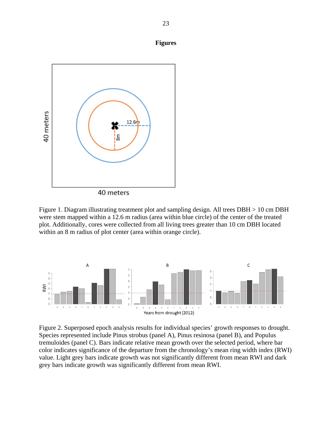<span id="page-29-0"></span>

40 meters

Figure 1. Diagram illustrating treatment plot and sampling design. All trees DBH > 10 cm DBH were stem mapped within a 12.6 m radius (area within blue circle) of the center of the treated plot. Additionally, cores were collected from all living trees greater than 10 cm DBH located within an 8 m radius of plot center (area within orange circle).



Figure 2. Superposed epoch analysis results for individual species' growth responses to drought. Species represented include Pinus strobus (panel A), Pinus resinosa (panel B), and Populus tremuloides (panel C). Bars indicate relative mean growth over the selected period, where bar color indicates significance of the departure from the chronology's mean ring width index (RWI) value. Light grey bars indicate growth was not significantly different from mean RWI and dark grey bars indicate growth was significantly different from mean RWI.

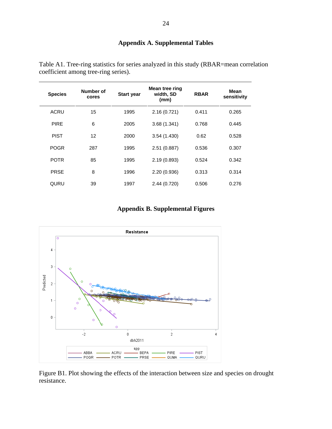# **Appendix A. Supplemental Tables**

| <b>Species</b> | Number of<br>cores | <b>Start year</b> | Mean tree ring<br>width, SD<br>(mm) | <b>RBAR</b> | Mean<br>sensitivity |
|----------------|--------------------|-------------------|-------------------------------------|-------------|---------------------|
| <b>ACRU</b>    | 15                 | 1995              | 2.16(0.721)                         | 0.411       | 0.265               |
| <b>PIRE</b>    | 6                  | 2005              | 3.68(1.341)                         | 0.768       | 0.445               |
| <b>PIST</b>    | $12 \overline{ }$  | 2000              | 3.54(1.430)                         | 0.62        | 0.528               |
| <b>POGR</b>    | 287                | 1995              | 2.51 (0.887)                        | 0.536       | 0.307               |
| <b>POTR</b>    | 85                 | 1995              | 2.19(0.893)                         | 0.524       | 0.342               |
| <b>PRSE</b>    | 8                  | 1996              | 2.20 (0.936)                        | 0.313       | 0.314               |
| QURU           | 39                 | 1997              | 2.44 (0.720)                        | 0.506       | 0.276               |

<span id="page-30-0"></span>Table A1. Tree-ring statistics for series analyzed in this study (RBAR=mean correlation coefficient among tree-ring series).

# **Appendix B. Supplemental Figures**

<span id="page-30-1"></span>

Figure B1. Plot showing the effects of the interaction between size and species on drought resistance.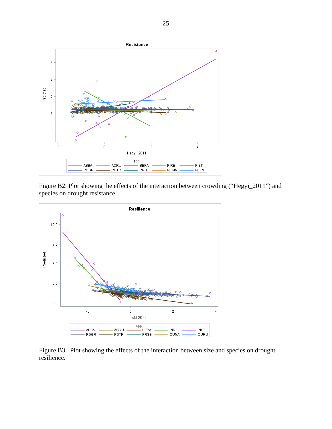

Figure B2. Plot showing the effects of the interaction between crowding ("Hegyi\_2011") and species on drought resistance.



Figure B3. Plot showing the effects of the interaction between size and species on drought resilience.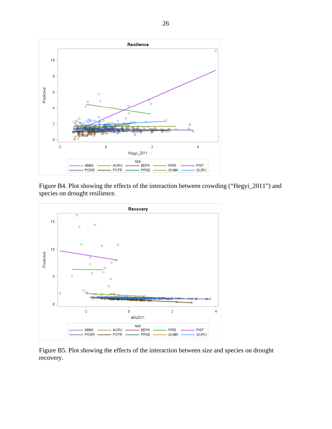

Figure B4. Plot showing the effects of the interaction between crowding ("Hegyi\_2011") and species on drought resilience.



Figure B5. Plot showing the effects of the interaction between size and species on drought recovery.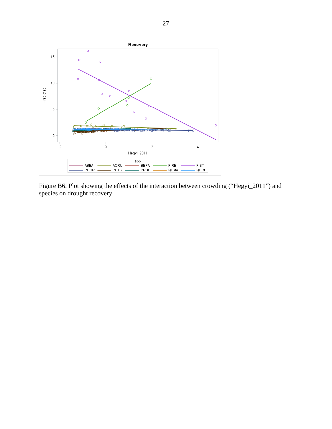

Figure B6. Plot showing the effects of the interaction between crowding ("Hegyi\_2011") and species on drought recovery.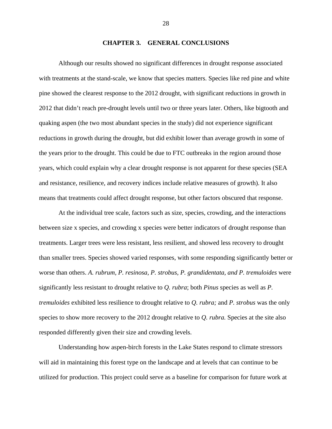### **CHAPTER 3. GENERAL CONCLUSIONS**

<span id="page-34-0"></span>Although our results showed no significant differences in drought response associated with treatments at the stand-scale, we know that species matters. Species like red pine and white pine showed the clearest response to the 2012 drought, with significant reductions in growth in 2012 that didn't reach pre-drought levels until two or three years later. Others, like bigtooth and quaking aspen (the two most abundant species in the study) did not experience significant reductions in growth during the drought, but did exhibit lower than average growth in some of the years prior to the drought. This could be due to FTC outbreaks in the region around those years, which could explain why a clear drought response is not apparent for these species (SEA and resistance, resilience, and recovery indices include relative measures of growth). It also means that treatments could affect drought response, but other factors obscured that response.

At the individual tree scale, factors such as size, species, crowding, and the interactions between size x species, and crowding x species were better indicators of drought response than treatments. Larger trees were less resistant, less resilient, and showed less recovery to drought than smaller trees. Species showed varied responses, with some responding significantly better or worse than others. *A. rubrum, P. resinosa, P. strobus, P. grandidentata, and P. tremuloides* were significantly less resistant to drought relative to *Q. rubra*; both *Pinus* species as well as *P. tremuloides* exhibited less resilience to drought relative to *Q. rubra;* and *P. strobus* was the only species to show more recovery to the 2012 drought relative to *Q. rubra.* Species at the site also responded differently given their size and crowding levels.

Understanding how aspen-birch forests in the Lake States respond to climate stressors will aid in maintaining this forest type on the landscape and at levels that can continue to be utilized for production. This project could serve as a baseline for comparison for future work at